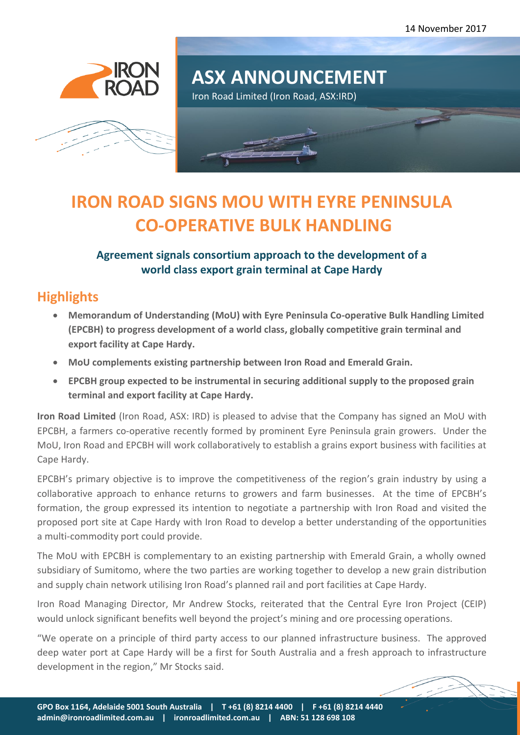14 November 2017





# **ASX ANNOUNCEMENT** Iron Road Limited (Iron Road, ASX:IRD)



### **Agreement signals consortium approach to the development of a world class export grain terminal at Cape Hardy**

## **Highlights**

- **Memorandum of Understanding (MoU) with Eyre Peninsula Co-operative Bulk Handling Limited (EPCBH) to progress development of a world class, globally competitive grain terminal and export facility at Cape Hardy.**
- **MoU complements existing partnership between Iron Road and Emerald Grain.**
- **EPCBH group expected to be instrumental in securing additional supply to the proposed grain terminal and export facility at Cape Hardy.**

**Iron Road Limited** (Iron Road, ASX: IRD) is pleased to advise that the Company has signed an MoU with EPCBH, a farmers co-operative recently formed by prominent Eyre Peninsula grain growers. Under the MoU, Iron Road and EPCBH will work collaboratively to establish a grains export business with facilities at Cape Hardy.

EPCBH's primary objective is to improve the competitiveness of the region's grain industry by using a collaborative approach to enhance returns to growers and farm businesses. At the time of EPCBH's formation, the group expressed its intention to negotiate a partnership with Iron Road and visited the proposed port site at Cape Hardy with Iron Road to develop a better understanding of the opportunities a multi-commodity port could provide.

The MoU with EPCBH is complementary to an existing partnership with Emerald Grain, a wholly owned subsidiary of Sumitomo, where the two parties are working together to develop a new grain distribution and supply chain network utilising Iron Road's planned rail and port facilities at Cape Hardy.

Iron Road Managing Director, Mr Andrew Stocks, reiterated that the Central Eyre Iron Project (CEIP) would unlock significant benefits well beyond the project's mining and ore processing operations.

"We operate on a principle of third party access to our planned infrastructure business. The approved deep water port at Cape Hardy will be a first for South Australia and a fresh approach to infrastructure development in the region," Mr Stocks said.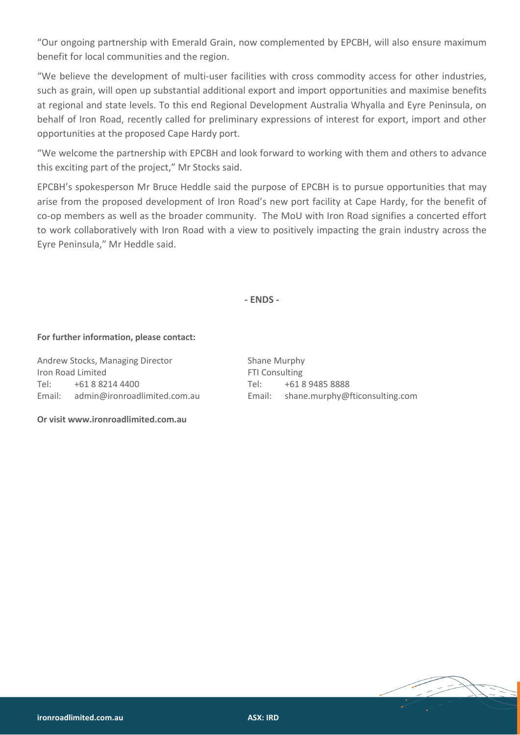"Our ongoing partnership with Emerald Grain, now complemented by EPCBH, will also ensure maximum benefit for local communities and the region.

"We believe the development of multi-user facilities with cross commodity access for other industries, such as grain, will open up substantial additional export and import opportunities and maximise benefits at regional and state levels. To this end Regional Development Australia Whyalla and Eyre Peninsula, on behalf of Iron Road, recently called for preliminary expressions of interest for export, import and other opportunities at the proposed Cape Hardy port.

"We welcome the partnership with EPCBH and look forward to working with them and others to advance this exciting part of the project," Mr Stocks said.

EPCBH's spokesperson Mr Bruce Heddle said the purpose of EPCBH is to pursue opportunities that may arise from the proposed development of Iron Road's new port facility at Cape Hardy, for the benefit of co-op members as well as the broader community. The MoU with Iron Road signifies a concerted effort to work collaboratively with Iron Road with a view to positively impacting the grain industry across the Eyre Peninsula," Mr Heddle said.

**- ENDS -**

#### **For further information, please contact:**

Andrew Stocks, Managing Director Shane Murphy Iron Road Limited **FTI** Consulting Tel: +61 8 8214 4400 Tel: +61 8 9485 8888 Email: [admin@ironroadlimited.com.au](mailto:admin@ironroadlimited.com.au) Email: [shane.murphy@fticonsulting.com](mailto:shane.murphy@fticonsulting.com)

#### **Or visi[t www.ironroadlimited.com.au](http://www.ironroadlimited.com.au/)**